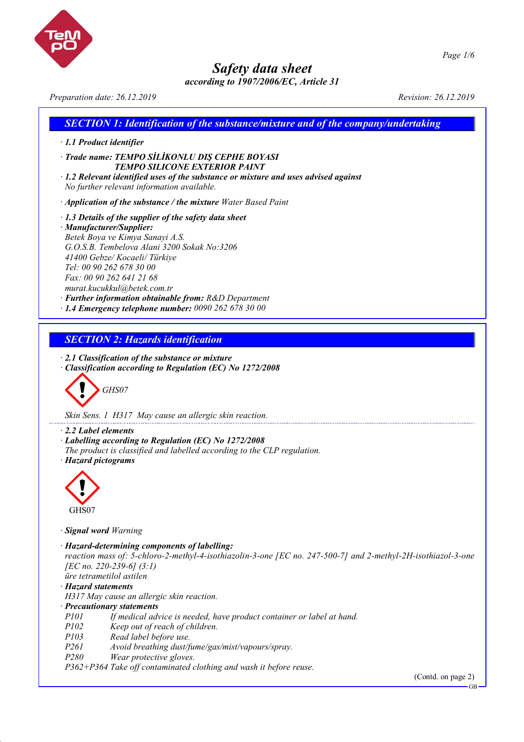

*according to 1907/2006/EC, Article 31*



*Preparation date: 26.12.2019 Revision: 26.12.2019*

# *SECTION 1: Identification of the substance/mixture and of the company/undertaking*

- *· 1.1 Product identifier*
- *· Trade name: TEMPO SİLİKONLU DIŞ CEPHE BOYASI TEMPO SILICONE EXTERIOR PAINT*
- *· 1.2 Relevant identified uses of the substance or mixture and uses advised against No further relevant information available.*
- *· Application of the substance / the mixture Water Based Paint*
- *· 1.3 Details of the supplier of the safety data sheet · Manufacturer/Supplier: Betek Boya ve Kimya Sanayi A.S. G.O.S.B. Tembelova Alani 3200 Sokak No:3206 41400 Gebze/ Kocaeli/ Türkiye Tel: 00 90 262 678 30 00 Fax: 00 90 262 641 21 68 murat.kucukkul@betek.com.tr*
- *· Further information obtainable from: R&D Department*
- *· 1.4 Emergency telephone number: 0090 262 678 30 00*

# *SECTION 2: Hazards identification*

*· 2.1 Classification of the substance or mixture*

*· Classification according to Regulation (EC) No 1272/2008*

$$
\bigotimes \mathrm{GH}S07
$$

*Skin Sens. 1 H317 May cause an allergic skin reaction.*

*· 2.2 Label elements*

- *· Labelling according to Regulation (EC) No 1272/2008*
- *The product is classified and labelled according to the CLP regulation.*

*· Hazard pictograms*



*· Signal word Warning*

- *· Hazard-determining components of labelling:*
- *reaction mass of: 5-chloro-2-methyl-4-isothiazolin-3-one [EC no. 247-500-7] and 2-methyl-2H-isothiazol-3-one [EC no. 220-239-6] (3:1)*

*üre tetrametilol astilen*

*· Hazard statements*

*H317 May cause an allergic skin reaction.*

- *· Precautionary statements*
- *P101 If medical advice is needed, have product container or label at hand.*
- *P102 Keep out of reach of children.*
- *P103 Read label before use.*
- *P261 Avoid breathing dust/fume/gas/mist/vapours/spray.*
- *P280 Wear protective gloves.*

*P362+P364 Take off contaminated clothing and wash it before reuse.*

(Contd. on page 2)

GB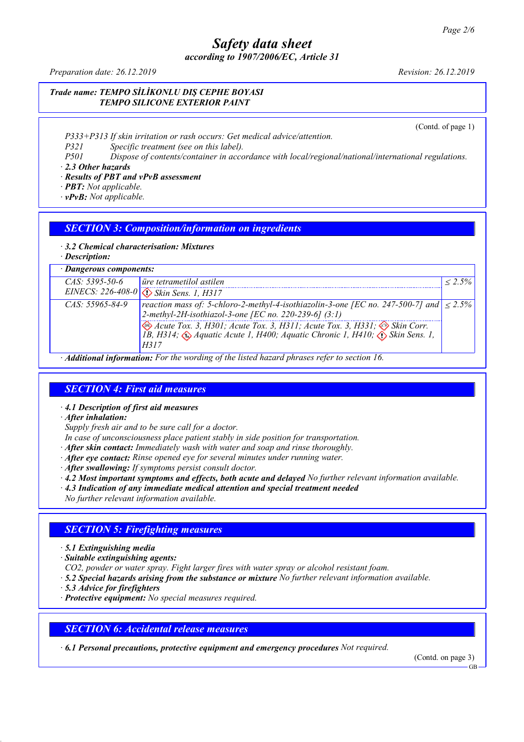*according to 1907/2006/EC, Article 31*

*Preparation date: 26.12.2019 Revision: 26.12.2019*

*Trade name: TEMPO SİLİKONLU DIŞ CEPHE BOYASI TEMPO SILICONE EXTERIOR PAINT*

(Contd. of page 1)

*P333+P313 If skin irritation or rash occurs: Get medical advice/attention.*

*P321 Specific treatment (see on this label).*

*P501 Dispose of contents/container in accordance with local/regional/national/international regulations. · 2.3 Other hazards*

### *· Results of PBT and vPvB assessment*

- *· PBT: Not applicable.*
- *· vPvB: Not applicable.*

### *SECTION 3: Composition/information on ingredients*

#### *· 3.2 Chemical characterisation: Mixtures*

*· Description:*

| · Dangerous components: |                                                                                                                                                                                                  |              |  |  |
|-------------------------|--------------------------------------------------------------------------------------------------------------------------------------------------------------------------------------------------|--------------|--|--|
| $CAS: 5395-50-6$        | <i>ure</i> tetrametilol astilen                                                                                                                                                                  | $\leq 2.5\%$ |  |  |
|                         | EINECS: 226-408-0 <>> Skin Sens. 1, H317                                                                                                                                                         |              |  |  |
| $CAS: 55965 - 84 - 9$   | reaction mass of: 5-chloro-2-methyl-4-isothiazolin-3-one [EC no. 247-500-7] and $  \leq 2.5\%$<br>2-methyl-2H-isothiazol-3-one [EC no. 220-239-6] $(3:1)$                                        |              |  |  |
|                         | Acute Tox. 3, H301; Acute Tox. 3, H311; Acute Tox. 3, H331; $\bigotimes$ Skin Corr.<br>1B, H314; $\bigotimes$ Aquatic Acute 1, H400; Aquatic Chronic 1, H410; $\bigotimes$ Skin Sens. 1,<br>H317 |              |  |  |
|                         | $\cdot$ <b>Additional information:</b> For the wording of the listed hazard phrases refer to section 16                                                                                          |              |  |  |

*· Additional information: For the wording of the listed hazard phrases refer to section 16.*

## *SECTION 4: First aid measures*

*· 4.1 Description of first aid measures*

*· After inhalation:*

*Supply fresh air and to be sure call for a doctor.*

*In case of unconsciousness place patient stably in side position for transportation.*

- *· After skin contact: Immediately wash with water and soap and rinse thoroughly.*
- *· After eye contact: Rinse opened eye for several minutes under running water.*
- *· After swallowing: If symptoms persist consult doctor.*
- *· 4.2 Most important symptoms and effects, both acute and delayed No further relevant information available.*
- *· 4.3 Indication of any immediate medical attention and special treatment needed*

*No further relevant information available.*

## *SECTION 5: Firefighting measures*

- *· 5.1 Extinguishing media*
- *· Suitable extinguishing agents:*
- *CO2, powder or water spray. Fight larger fires with water spray or alcohol resistant foam.*
- *· 5.2 Special hazards arising from the substance or mixture No further relevant information available.*
- *· 5.3 Advice for firefighters*
- *· Protective equipment: No special measures required.*

### *SECTION 6: Accidental release measures*

*· 6.1 Personal precautions, protective equipment and emergency procedures Not required.*

(Contd. on page 3)

GB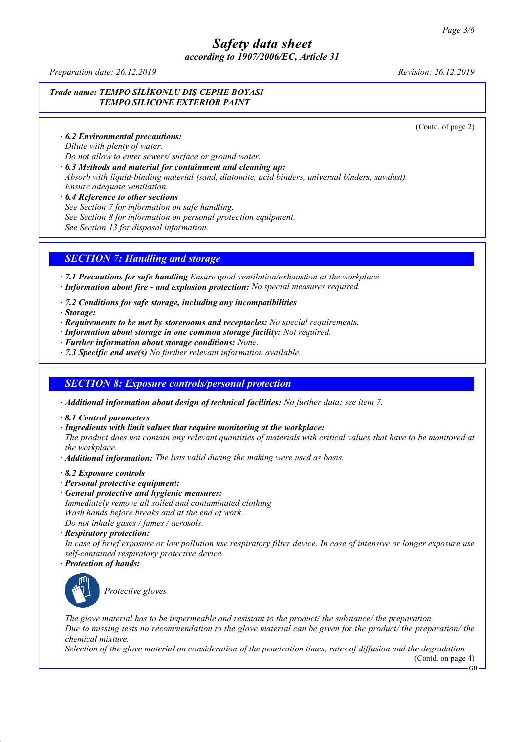*according to 1907/2006/EC, Article 31*

*Preparation date: 26.12.2019 Revision: 26.12.2019*

### *Trade name: TEMPO SİLİKONLU DIŞ CEPHE BOYASI TEMPO SILICONE EXTERIOR PAINT*

(Contd. of page 2)

*· 6.2 Environmental precautions:*

*Dilute with plenty of water.*

*Do not allow to enter sewers/ surface or ground water.*

*· 6.3 Methods and material for containment and cleaning up:*

*Absorb with liquid-binding material (sand, diatomite, acid binders, universal binders, sawdust). Ensure adequate ventilation.*

*· 6.4 Reference to other sections*

*See Section 7 for information on safe handling.*

*See Section 8 for information on personal protection equipment.*

*See Section 13 for disposal information.*

# *SECTION 7: Handling and storage*

*· 7.1 Precautions for safe handling Ensure good ventilation/exhaustion at the workplace.*

- *· Information about fire - and explosion protection: No special measures required.*
- *· 7.2 Conditions for safe storage, including any incompatibilities*
- *· Storage:*
- *· Requirements to be met by storerooms and receptacles: No special requirements.*
- *· Information about storage in one common storage facility: Not required.*
- *· Further information about storage conditions: None.*
- *· 7.3 Specific end use(s) No further relevant information available.*

## *SECTION 8: Exposure controls/personal protection*

*· Additional information about design of technical facilities: No further data; see item 7.*

- *· 8.1 Control parameters*
- *· Ingredients with limit values that require monitoring at the workplace:*

The product does not contain any relevant quantities of materials with critical values that have to be monitored at *the workplace.*

- *· Additional information: The lists valid during the making were used as basis.*
- *· 8.2 Exposure controls*
- *· Personal protective equipment:*
- *· General protective and hygienic measures:*
- *Immediately remove all soiled and contaminated clothing Wash hands before breaks and at the end of work.*

*Do not inhale gases / fumes / aerosols.*

*· Respiratory protection:*

In case of brief exposure or low pollution use respiratory filter device. In case of intensive or longer exposure use *self-contained respiratory protective device.*

*· Protection of hands:*



*Protective gloves*

*The glove material has to be impermeable and resistant to the product/ the substance/ the preparation.* Due to missing tests no recommendation to the glove material can be given for the product/ the preparation/ the *chemical mixture.*

Selection of the glove material on consideration of the penetration times, rates of diffusion and the degradation (Contd. on page 4)

GB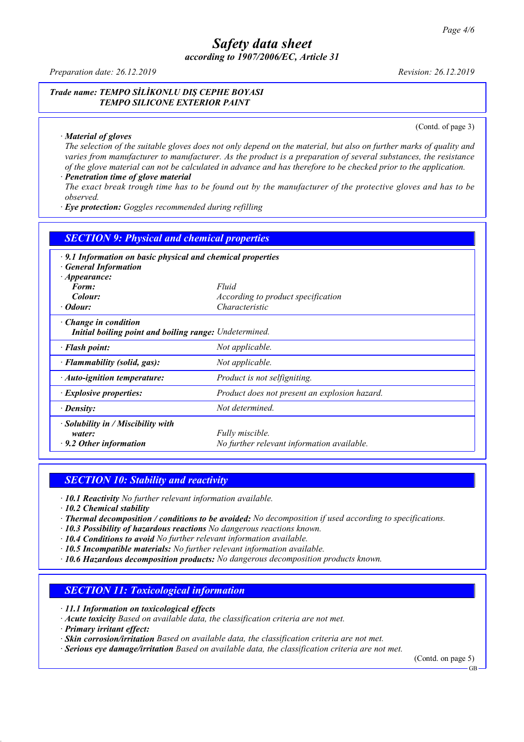*according to 1907/2006/EC, Article 31*

*Preparation date: 26.12.2019 Revision: 26.12.2019*

*Trade name: TEMPO SİLİKONLU DIŞ CEPHE BOYASI TEMPO SILICONE EXTERIOR PAINT*

*· Material of gloves*

(Contd. of page 3)

The selection of the suitable gloves does not only depend on the material, but also on further marks of quality and *varies from manufacturer to manufacturer. As the product is a preparation of several substances, the resistance* of the glove material can not be calculated in advance and has therefore to be checked prior to the application.

#### *· Penetration time of glove material* The exact break trough time has to be found out by the manufacturer of the protective gloves and has to be

*observed.*

*· Eye protection: Goggles recommended during refilling*

| <b>SECTION 9: Physical and chemical properties</b>                                    |                                               |  |  |  |  |  |
|---------------------------------------------------------------------------------------|-----------------------------------------------|--|--|--|--|--|
| $\cdot$ 9.1 Information on basic physical and chemical properties                     |                                               |  |  |  |  |  |
| <b>General Information</b>                                                            |                                               |  |  |  |  |  |
| $\cdot$ Appearance:                                                                   |                                               |  |  |  |  |  |
| Form:                                                                                 | Fluid                                         |  |  |  |  |  |
| Colour:                                                                               | According to product specification            |  |  |  |  |  |
| $\cdot$ Odour:                                                                        | Characteristic                                |  |  |  |  |  |
| $\cdot$ Change in condition<br>Initial boiling point and boiling range: Undetermined. |                                               |  |  |  |  |  |
| · Flash point:                                                                        | Not applicable.                               |  |  |  |  |  |
| · Flammability (solid, gas):                                                          | Not applicable.                               |  |  |  |  |  |
| $\cdot$ Auto-ignition temperature:                                                    | Product is not selfigniting.                  |  |  |  |  |  |
| · Explosive properties:                                                               | Product does not present an explosion hazard. |  |  |  |  |  |
| · Density:                                                                            | Not determined.                               |  |  |  |  |  |
| $\cdot$ Solubility in / Miscibility with                                              |                                               |  |  |  |  |  |
| water:                                                                                | Fully miscible.                               |  |  |  |  |  |
| $\cdot$ 9.2 Other information                                                         | No further relevant information available.    |  |  |  |  |  |

### *SECTION 10: Stability and reactivity*

*· 10.1 Reactivity No further relevant information available.*

*· 10.2 Chemical stability*

- *· Thermal decomposition / conditions to be avoided: No decomposition if used according to specifications.*
- *· 10.3 Possibility of hazardous reactions No dangerous reactions known.*
- *· 10.4 Conditions to avoid No further relevant information available.*
- *· 10.5 Incompatible materials: No further relevant information available.*
- *· 10.6 Hazardous decomposition products: No dangerous decomposition products known.*

### *SECTION 11: Toxicological information*

*· 11.1 Information on toxicological effects*

*· Acute toxicity Based on available data, the classification criteria are not met.*

*· Primary irritant effect:*

*· Skin corrosion/irritation Based on available data, the classification criteria are not met.*

*· Serious eye damage/irritation Based on available data, the classification criteria are not met.*

(Contd. on page 5)

GB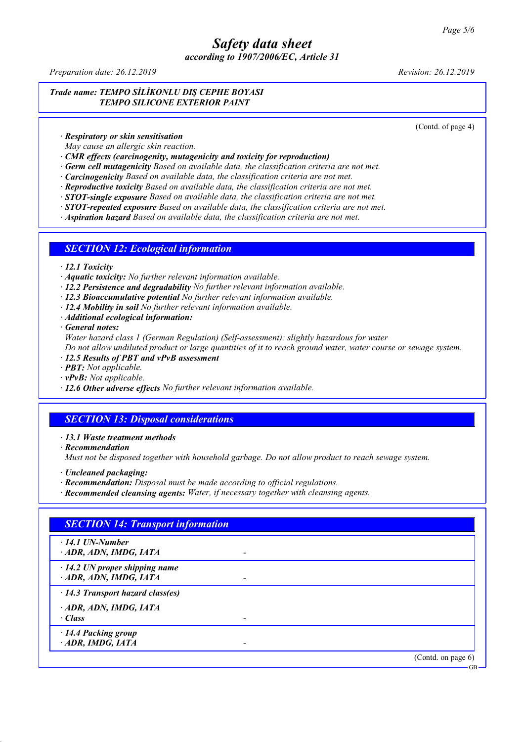*according to 1907/2006/EC, Article 31*

*Preparation date: 26.12.2019 Revision: 26.12.2019*

*Trade name: TEMPO SİLİKONLU DIŞ CEPHE BOYASI TEMPO SILICONE EXTERIOR PAINT*

(Contd. of page 4)

*· Respiratory or skin sensitisation*

*May cause an allergic skin reaction.*

*· CMR effects (carcinogenity, mutagenicity and toxicity for reproduction)*

*· Germ cell mutagenicity Based on available data, the classification criteria are not met.*

*· Carcinogenicity Based on available data, the classification criteria are not met.*

*· Reproductive toxicity Based on available data, the classification criteria are not met.*

*· STOT-single exposure Based on available data, the classification criteria are not met.*

*· STOT-repeated exposure Based on available data, the classification criteria are not met.*

*· Aspiration hazard Based on available data, the classification criteria are not met.*

#### *SECTION 12: Ecological information*

*· 12.1 Toxicity*

*· Aquatic toxicity: No further relevant information available.*

*· 12.2 Persistence and degradability No further relevant information available.*

*· 12.3 Bioaccumulative potential No further relevant information available.*

*· 12.4 Mobility in soil No further relevant information available.*

*· Additional ecological information:*

*· General notes:*

*Water hazard class 1 (German Regulation) (Self-assessment): slightly hazardous for water*

Do not allow undiluted product or large quantities of it to reach ground water, water course or sewage system.

*· 12.5 Results of PBT and vPvB assessment*

*· PBT: Not applicable.*

*· vPvB: Not applicable.*

*· 12.6 Other adverse effects No further relevant information available.*

### *SECTION 13: Disposal considerations*

*· 13.1 Waste treatment methods*

*· Recommendation*

*Must not be disposed together with household garbage. Do not allow product to reach sewage system.*

*· Uncleaned packaging:*

*· Recommendation: Disposal must be made according to official regulations.*

*· Recommended cleansing agents: Water, if necessary together with cleansing agents.*

| <b>SECTION 14: Transport information</b>                     |  |                       |
|--------------------------------------------------------------|--|-----------------------|
| $\cdot$ 14.1 UN-Number<br>ADR, ADN, IMDG, IATA               |  |                       |
| $\cdot$ 14.2 UN proper shipping name<br>ADR, ADN, IMDG, IATA |  |                       |
| $\cdot$ 14.3 Transport hazard class(es)                      |  |                       |
| ADR, ADN, IMDG, IATA<br>· Class                              |  |                       |
| · 14.4 Packing group<br>· ADR, IMDG, IATA                    |  |                       |
|                                                              |  | (Contd. on page $6$ ) |

GB